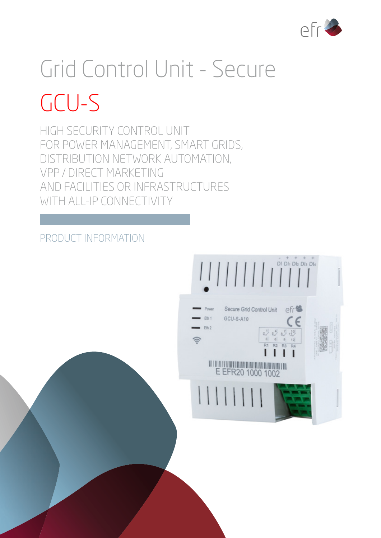

# Grid Control Unit - Secure GCU-S

HIGH SECURITY CONTROL UNIT FOR POWER MANAGEMENT, SMART GRIDS, DISTRIBUTION NETWORK AUTOMATION, VPP / DIRECT MARKETING AND FACILITIES OR INFRASTRUCTURES WITH ALL-IP CONNECTIVITY

# PRODUCT INFORMATION

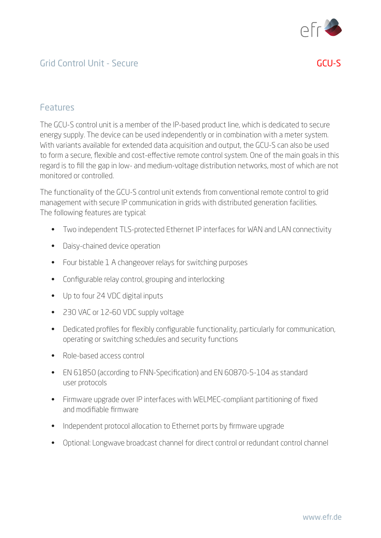

### Grid Control Unit - Secure GCU-S

#### Features

The GCU-S control unit is a member of the IP-based product line, which is dedicated to secure energy supply. The device can be used independently or in combination with a meter system. With variants available for extended data acquisition and output, the GCU-S can also be used to form a secure, flexible and cost-effective remote control system. One of the main goals in this regard is to fill the gap in low- and medium-voltage distribution networks, most of which are not monitored or controlled.

The functionality of the GCU-S control unit extends from conventional remote control to grid management with secure IP communication in grids with distributed generation facilities. The following features are typical:

- Two independent TLS-protected Ethernet IP interfaces for WAN and LAN connectivity
- Daisy-chained device operation
- Four bistable 1 A changeover relays for switching purposes
- Configurable relay control, grouping and interlocking
- Up to four 24 VDC digital inputs
- 230 VAC or 12-60 VDC supply voltage
- Dedicated profiles for flexibly configurable functionality, particularly for communication, operating or switching schedules and security functions
- Role-based access control
- EN 61850 (according to FNN-Specification) and EN 60870-5-104 as standard user protocols
- Firmware upgrade over IP interfaces with WELMEC-compliant partitioning of fixed and modifiable firmware
- Independent protocol allocation to Ethernet ports by firmware upgrade
- Optional: Longwave broadcast channel for direct control or redundant control channel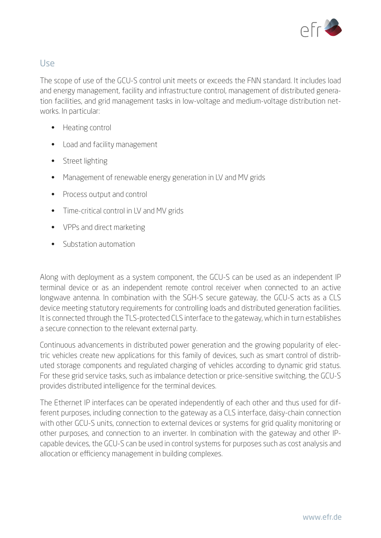

#### Use

The scope of use of the GCU-S control unit meets or exceeds the FNN standard. It includes load and energy management, facility and infrastructure control, management of distributed generation facilities, and grid management tasks in low-voltage and medium-voltage distribution networks. In particular:

- Heating control
- Load and facility management
- Street lighting
- Management of renewable energy generation in LV and MV grids
- Process output and control
- Time-critical control in LV and MV grids
- VPPs and direct marketing
- Substation automation

Along with deployment as a system component, the GCU-S can be used as an independent IP terminal device or as an independent remote control receiver when connected to an active longwave antenna. In combination with the SGH-S secure gateway, the GCU-S acts as a CLS device meeting statutory requirements for controlling loads and distributed generation facilities. It is connected through the TLS-protected CLS interface to the gateway, which in turn establishes a secure connection to the relevant external party.

Continuous advancements in distributed power generation and the growing popularity of electric vehicles create new applications for this family of devices, such as smart control of distributed storage components and regulated charging of vehicles according to dynamic grid status. For these grid service tasks, such as imbalance detection or price-sensitive switching, the GCU-S provides distributed intelligence for the terminal devices.

The Ethernet IP interfaces can be operated independently of each other and thus used for different purposes, including connection to the gateway as a CLS interface, daisy-chain connection with other GCU-S units, connection to external devices or systems for grid quality monitoring or other purposes, and connection to an inverter. In combination with the gateway and other IPcapable devices, the GCU-S can be used in control systems for purposes such as cost analysis and allocation or efficiency management in building complexes.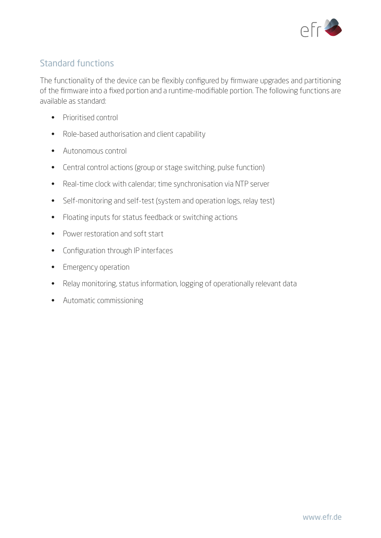

#### Standard functions

The functionality of the device can be flexibly configured by firmware upgrades and partitioning of the firmware into a fixed portion and a runtime-modifiable portion. The following functions are available as standard:

- Prioritised control
- Role-based authorisation and client capability
- Autonomous control
- Central control actions (group or stage switching, pulse function)
- Real-time clock with calendar; time synchronisation via NTP server
- Self-monitoring and self-test (system and operation logs, relay test)
- Floating inputs for status feedback or switching actions
- Power restoration and soft start
- Configuration through IP interfaces
- Emergency operation
- Relay monitoring, status information, logging of operationally relevant data
- Automatic commissioning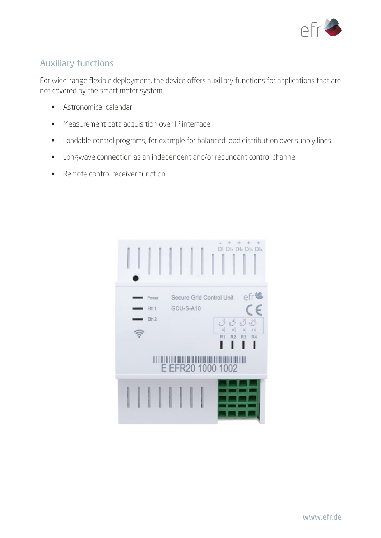

## Auxiliary functions

For wide-range flexible deployment, the device offers auxiliary functions for applications that are not covered by the smart meter system:

- Astronomical calendar
- Measurement data acquisition over IP interface
- Loadable control programs, for example for balanced load distribution over supply lines
- Longwave connection as an independent and/or redundant control channel
- Remote control receiver function

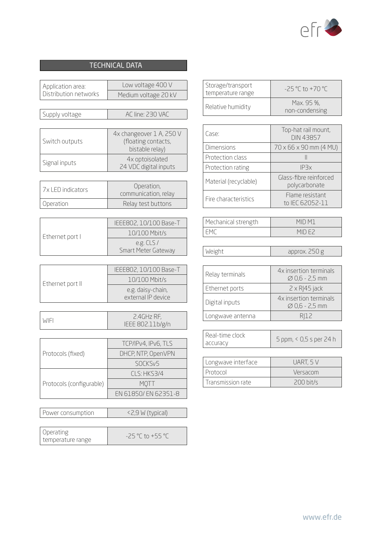

#### TECHNICAL DATA

| Application area:              | Low voltage 400 V                                                  |
|--------------------------------|--------------------------------------------------------------------|
| Distribution networks          | Medium voltage 20 kV                                               |
|                                |                                                                    |
| Supply voltage                 | AC line: 230 VAC                                                   |
|                                |                                                                    |
| Switch outputs                 | 4x changeover 1 A, 250 V<br>(floating contacts,<br>bistable relay) |
| Signal inputs                  | 4x optoisolated<br>24 VDC digital inputs                           |
|                                |                                                                    |
| 7x LED indicators              | Operation,<br>communication, relay                                 |
| Operation                      | Relay test buttons                                                 |
|                                |                                                                    |
|                                | IEEE802, 10/100 Base-T                                             |
| Ethernet port I                | 10/100 Mbit/s                                                      |
|                                | e.g. CLS/                                                          |
|                                | Smart Meter Gateway                                                |
|                                |                                                                    |
|                                | IEEE802, 10/100 Base-T                                             |
| Ethernet port II               | 10/100 Mbit/s                                                      |
|                                | e.g. daisy-chain,<br>external IP device                            |
|                                |                                                                    |
|                                | 2.4GHz RF,                                                         |
| WIFI                           | IEEE 802.11b/g/n                                                   |
|                                |                                                                    |
|                                | TCP/IPv4, IPv6, TLS                                                |
| Protocols (fixed)              | DHCP, NTP, OpenVPN                                                 |
|                                | SOCKS <sub>V</sub> 5                                               |
|                                | CLS: HKS3/4                                                        |
| Protocols (configurable)       | <b>MQTT</b>                                                        |
|                                | EN 61850/ EN 62351-8                                               |
|                                |                                                                    |
| Power consumption              | <2,9 W (typical)                                                   |
|                                |                                                                    |
| Operating<br>temperature range | -25 °C to +55 °C                                                   |

| Storage/transport<br>temperature range | $-25 °C$ to $+70 °C$         |
|----------------------------------------|------------------------------|
| Relative humidity                      | Max. 95 %,<br>non-condensing |

| Case:                 | Top-hat rail mount,<br><b>DIN 43857</b> |
|-----------------------|-----------------------------------------|
| <b>Dimensions</b>     | $70 \times 66 \times 90$ mm (4 MU)      |
| Protection class      |                                         |
| Protection rating     | IP3x                                    |
| Material (recyclable) | Glass-fibre reinforced<br>polycarbonate |
| Fire characteristics  | Flame resistant<br>to IEC 62052-11      |

| Mechanical strength | MID M1 |
|---------------------|--------|
| I FM1               | MIDEZ  |

| $\sqrt{2}$ | - - - - - - - |
|------------|---------------|
|            |               |

| Relay terminals  | 4x insertion terminals<br>$\varnothing$ 0,6 - 2,5 mm |
|------------------|------------------------------------------------------|
| Ethernet ports   | $2 \times R$  45 jack                                |
| Digital inputs   | 4x insertion terminals<br>$\varnothing$ 0,6 - 2,5 mm |
| Longwave antenna | RI12                                                 |

| l Real-time clock<br>accuracy | 5 ppm, < 0,5 s per 24 h |  |
|-------------------------------|-------------------------|--|
|                               |                         |  |
| cogues interface              |                         |  |

| Longwave interface | UART, 5 V   |
|--------------------|-------------|
| Protocol           | Versacom    |
| Transmission rate  | $200$ bit/s |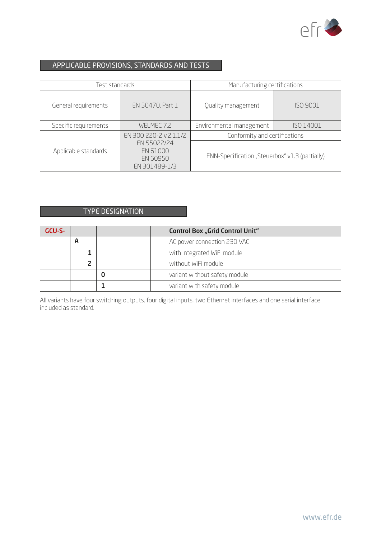

#### APPLICABLE PROVISIONS, STANDARDS AND TESTS

| Test standards        |                                                      | Manufacturing certifications                   |           |  |
|-----------------------|------------------------------------------------------|------------------------------------------------|-----------|--|
| General requirements  | EN 50470, Part 1                                     | Quality management                             | ISO 9001  |  |
| Specific requirements | WELMEC 7.2                                           | Environmental management                       | ISO 14001 |  |
|                       | EN 300 220-2 v.2.1.1/2                               | Conformity and certifications                  |           |  |
| Applicable standards  | EN 55022/24<br>EN 61000<br>EN 60950<br>EN 301489-1/3 | FNN-Specification "Steuerbox" v1.3 (partially) |           |  |

#### TYPE DESIGNATION

| GCU-S- |   |  |  |  | <b>Control Box "Grid Control Unit"</b> |
|--------|---|--|--|--|----------------------------------------|
|        | А |  |  |  | AC power connection 230 VAC            |
|        |   |  |  |  | with integrated WiFi module            |
|        |   |  |  |  | without WiFi module                    |
|        |   |  |  |  | variant without safety module          |
|        |   |  |  |  | variant with safety module             |

All variants have four switching outputs, four digital inputs, two Ethernet interfaces and one serial interface included as standard.